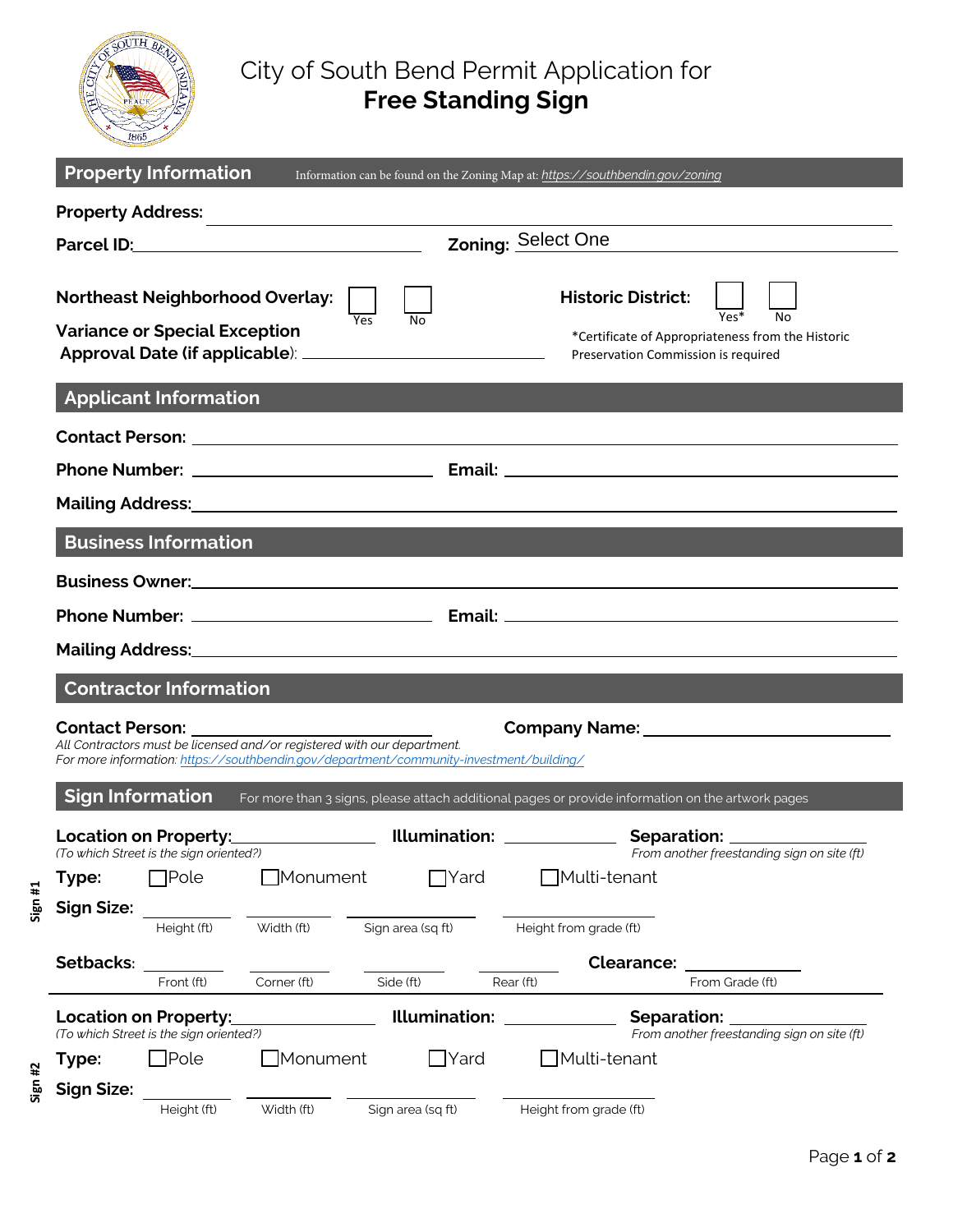

**Sign #1**

**Sign #2**

## City of South Bend Permit Application for **Free Standing Sign**

|                                                                                                                                                                                              | <b>Property Information</b>                                                    |                 |                   | Information can be found on the Zoning Map at: https://southbendin.gov/zoning                                         |                                                                        |  |  |  |  |  |  |
|----------------------------------------------------------------------------------------------------------------------------------------------------------------------------------------------|--------------------------------------------------------------------------------|-----------------|-------------------|-----------------------------------------------------------------------------------------------------------------------|------------------------------------------------------------------------|--|--|--|--|--|--|
| <b>Property Address:</b>                                                                                                                                                                     |                                                                                |                 |                   |                                                                                                                       |                                                                        |  |  |  |  |  |  |
|                                                                                                                                                                                              | Zoning: Select One                                                             |                 |                   |                                                                                                                       |                                                                        |  |  |  |  |  |  |
|                                                                                                                                                                                              | <b>Northeast Neighborhood Overlay:</b><br><b>Variance or Special Exception</b> |                 | Yes<br>N٥         | <b>Historic District:</b><br>*Certificate of Appropriateness from the Historic<br>Preservation Commission is required |                                                                        |  |  |  |  |  |  |
| <b>Applicant Information</b>                                                                                                                                                                 |                                                                                |                 |                   |                                                                                                                       |                                                                        |  |  |  |  |  |  |
|                                                                                                                                                                                              |                                                                                |                 |                   |                                                                                                                       |                                                                        |  |  |  |  |  |  |
|                                                                                                                                                                                              |                                                                                |                 |                   |                                                                                                                       |                                                                        |  |  |  |  |  |  |
|                                                                                                                                                                                              |                                                                                |                 |                   |                                                                                                                       |                                                                        |  |  |  |  |  |  |
| <b>Business Information</b>                                                                                                                                                                  |                                                                                |                 |                   |                                                                                                                       |                                                                        |  |  |  |  |  |  |
|                                                                                                                                                                                              |                                                                                |                 |                   |                                                                                                                       |                                                                        |  |  |  |  |  |  |
|                                                                                                                                                                                              |                                                                                |                 |                   |                                                                                                                       |                                                                        |  |  |  |  |  |  |
| Mailing Address: Mailing Address: All Annual Address: All Annual Address: All Annual Address: All Annual Addre                                                                               |                                                                                |                 |                   |                                                                                                                       |                                                                        |  |  |  |  |  |  |
| <b>Contractor Information</b>                                                                                                                                                                |                                                                                |                 |                   |                                                                                                                       |                                                                        |  |  |  |  |  |  |
| <b>Contact Person:</b><br>All Contractors must be licensed and/or registered with our department.<br>For more information: https://southbendin.gov/department/community-investment/building/ |                                                                                |                 |                   |                                                                                                                       |                                                                        |  |  |  |  |  |  |
| <b>Sign Information</b><br>For more than 3 signs, please attach additional pages or provide information on the artwork pages                                                                 |                                                                                |                 |                   |                                                                                                                       |                                                                        |  |  |  |  |  |  |
|                                                                                                                                                                                              | <b>Location on Property:</b><br>(To which Street is the sign oriented?)        |                 |                   | Illumination: ____________                                                                                            | Separation: Separation:<br>From another freestanding sign on site (ft) |  |  |  |  |  |  |
| Type:                                                                                                                                                                                        | <b>T</b> Pole                                                                  | $\Box$ Monument | $\Box$ Yard       | ]Multi-tenant                                                                                                         |                                                                        |  |  |  |  |  |  |
| <b>Sign Size:</b>                                                                                                                                                                            | Height (ft)                                                                    | Width (ft)      | Sign area (sq ft) | Height from grade (ft)                                                                                                |                                                                        |  |  |  |  |  |  |
| Setbacks:                                                                                                                                                                                    |                                                                                |                 |                   | <b>Clearance:</b>                                                                                                     |                                                                        |  |  |  |  |  |  |
|                                                                                                                                                                                              | Front (ft)                                                                     | Corner (ft)     | Side (ft)         | Rear (ft)                                                                                                             | From Grade (ft)                                                        |  |  |  |  |  |  |
| <b>Location on Property:</b><br>(To which Street is the sign oriented?)                                                                                                                      |                                                                                |                 | Illumination:     |                                                                                                                       | Separation:<br>From another freestanding sign on site (ft)             |  |  |  |  |  |  |
| Type:                                                                                                                                                                                        | $\exists$ Pole                                                                 | $\Box$ Monument | $\Box$ Yard       | Multi-tenant                                                                                                          |                                                                        |  |  |  |  |  |  |
| <b>Sign Size:</b>                                                                                                                                                                            | Height (ft)                                                                    | Width (ft)      | Sign area (sq ft) | Height from grade (ft)                                                                                                |                                                                        |  |  |  |  |  |  |